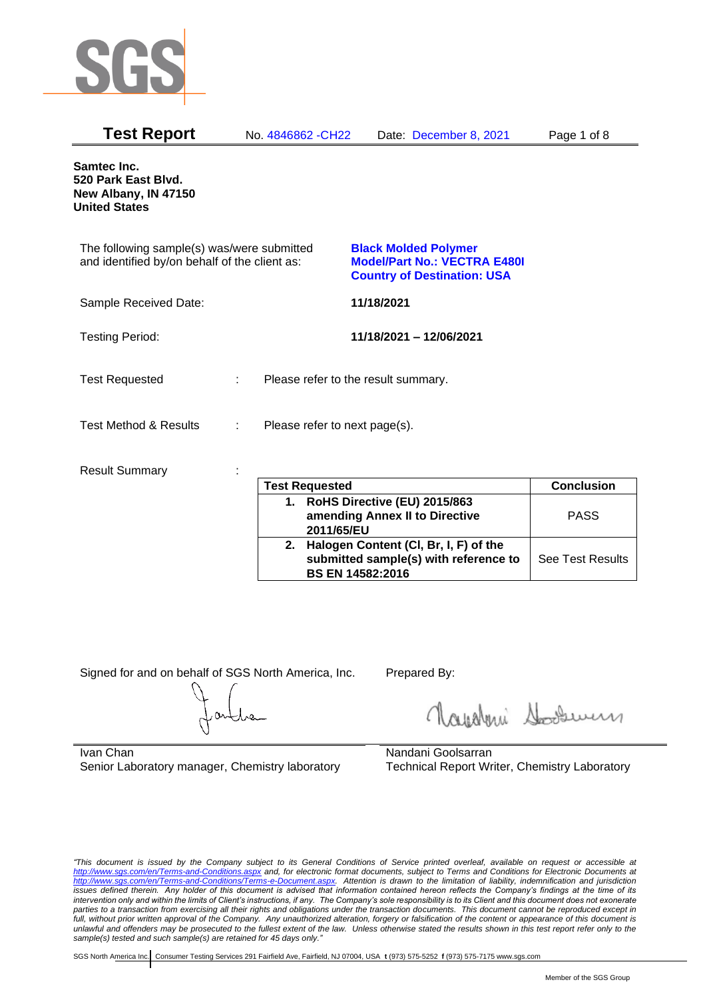

| <b>Test Report</b>                                                                          |   | No. 4846862 - CH22            | Date: December 8, 2021                                                                                   | Page 1 of 8 |
|---------------------------------------------------------------------------------------------|---|-------------------------------|----------------------------------------------------------------------------------------------------------|-------------|
| Samtec Inc.<br>520 Park East Blvd.<br>New Albany, IN 47150<br><b>United States</b>          |   |                               |                                                                                                          |             |
| The following sample(s) was/were submitted<br>and identified by/on behalf of the client as: |   |                               | <b>Black Molded Polymer</b><br><b>Model/Part No.: VECTRA E480I</b><br><b>Country of Destination: USA</b> |             |
| Sample Received Date:                                                                       |   |                               | 11/18/2021                                                                                               |             |
| <b>Testing Period:</b>                                                                      |   |                               | 11/18/2021 - 12/06/2021                                                                                  |             |
| <b>Test Requested</b>                                                                       | ÷ |                               | Please refer to the result summary.                                                                      |             |
| <b>Test Method &amp; Results</b>                                                            | ÷ | Please refer to next page(s). |                                                                                                          |             |
| <b>Result Summary</b>                                                                       |   | <b>Tast Ranuastad</b>         |                                                                                                          | Conclusion  |

|    | <b>Test Requested</b>                                                                              | <b>Conclusion</b>       |
|----|----------------------------------------------------------------------------------------------------|-------------------------|
| 1. | RoHS Directive (EU) 2015/863<br>amending Annex II to Directive<br>2011/65/EU                       | <b>PASS</b>             |
| 2. | Halogen Content (CI, Br, I, F) of the<br>submitted sample(s) with reference to<br>BS EN 14582:2016 | <b>See Test Results</b> |

Signed for and on behalf of SGS North America, Inc. Prepared By:

Roughan Souri

Ivan Chan Senior Laboratory manager, Chemistry laboratory

Nandani Goolsarran Technical Report Writer, Chemistry Laboratory

*"This document is issued by the Company subject to its General Conditions of Service printed overleaf, available on request or accessible at <http://www.sgs.com/en/Terms-and-Conditions.aspx> and, for electronic format documents, subject to Terms and Conditions for Electronic Documents at [http://www.sgs.com/en/Terms-and-Conditions/Terms-e-Document.aspx.](http://www.sgs.com/en/Terms-and-Conditions/Terms-e-Document.aspx) Attention is drawn to the limitation of liability, indemnification and jurisdiction issues defined therein. Any holder of this document is advised that information contained hereon reflects the Company's findings at the time of its intervention only and within the limits of Client's instructions, if any. The Company's sole responsibility is to its Client and this document does not exonerate*  parties to a transaction from exercising all their rights and obligations under the transaction documents. This document cannot be reproduced except in *full, without prior written approval of the Company. Any unauthorized alteration, forgery or falsification of the content or appearance of this document is unlawful and offenders may be prosecuted to the fullest extent of the law. Unless otherwise stated the results shown in this test report refer only to the sample(s) tested and such sample(s) are retained for 45 days only."*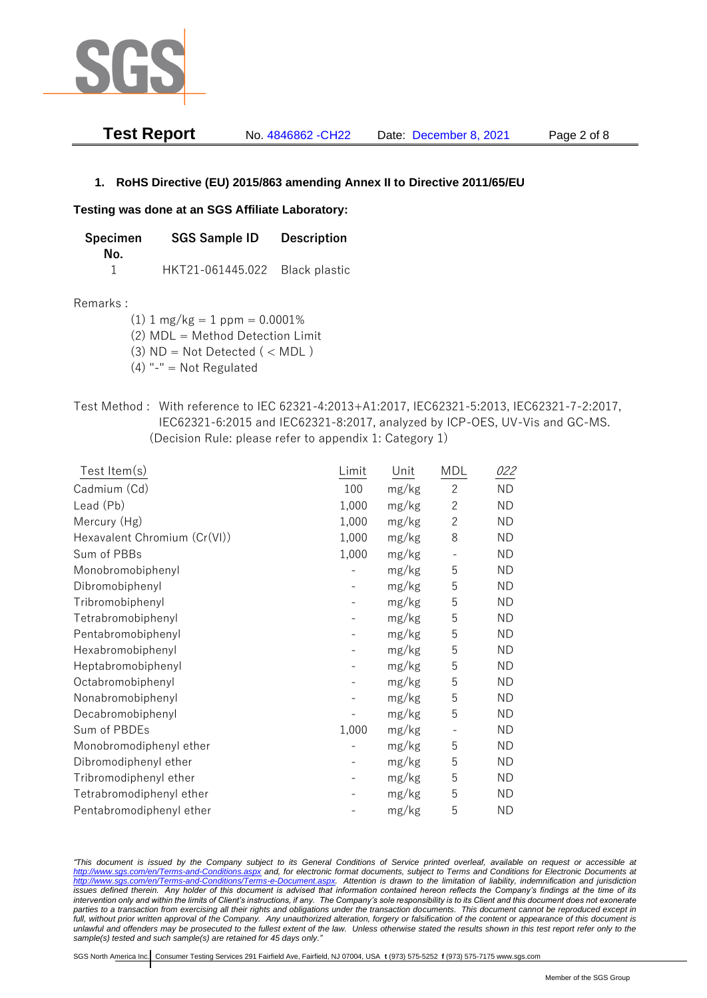

| Test Report | No. 4846862 - CH22 | Date: December 8, 2021 | Page 2 of 8 |
|-------------|--------------------|------------------------|-------------|
|-------------|--------------------|------------------------|-------------|

# **1. RoHS Directive (EU) 2015/863 amending Annex II to Directive 2011/65/EU**

### **Testing was done at an SGS Affiliate Laboratory:**

**Specimen SGS Sample ID Description No.** 1 HKT21-061445.022 Black plastic

#### Remarks :

 $(1)$  1 mg/kg = 1 ppm = 0.0001%

(2) MDL = Method Detection Limit

 $(3)$  ND = Not Detected  $($  < MDL)

- (4) "-" = Not Regulated
- Test Method : With reference to IEC 62321-4:2013+A1:2017, IEC62321-5:2013, IEC62321-7-2:2017, IEC62321-6:2015 and IEC62321-8:2017, analyzed by ICP-OES, UV-Vis and GC-MS. (Decision Rule: please refer to appendix 1: Category 1)

| Test Item(s)                 | Limit | Unit  | MDL          | <i>022</i> |
|------------------------------|-------|-------|--------------|------------|
| Cadmium (Cd)                 | 100   | mg/kg | $\mathbf{2}$ | <b>ND</b>  |
| Lead (Pb)                    | 1,000 | mg/kg | $\mathbf{2}$ | <b>ND</b>  |
| Mercury (Hg)                 | 1,000 | mg/kg | $\mathbf{2}$ | <b>ND</b>  |
| Hexavalent Chromium (Cr(VI)) | 1,000 | mg/kg | 8            | <b>ND</b>  |
| Sum of PBBs                  | 1,000 | mg/kg |              | <b>ND</b>  |
| Monobromobiphenyl            |       | mg/kg | 5            | <b>ND</b>  |
| Dibromobiphenyl              |       | mg/kg | 5            | <b>ND</b>  |
| Tribromobiphenyl             |       | mg/kg | 5            | <b>ND</b>  |
| Tetrabromobiphenyl           |       | mg/kg | 5            | <b>ND</b>  |
| Pentabromobiphenyl           |       | mg/kg | 5            | <b>ND</b>  |
| Hexabromobiphenyl            |       | mg/kg | 5            | <b>ND</b>  |
| Heptabromobiphenyl           |       | mg/kg | 5            | <b>ND</b>  |
| Octabromobiphenyl            |       | mg/kg | 5            | <b>ND</b>  |
| Nonabromobiphenyl            |       | mg/kg | 5            | <b>ND</b>  |
| Decabromobiphenyl            |       | mg/kg | 5            | <b>ND</b>  |
| Sum of PBDEs                 | 1,000 | mg/kg |              | <b>ND</b>  |
| Monobromodiphenyl ether      |       | mg/kg | 5            | <b>ND</b>  |
| Dibromodiphenyl ether        |       | mg/kg | 5            | <b>ND</b>  |
| Tribromodiphenyl ether       |       | mg/kg | 5            | <b>ND</b>  |
| Tetrabromodiphenyl ether     |       | mg/kg | 5            | <b>ND</b>  |
| Pentabromodiphenyl ether     |       | mg/kg | 5            | <b>ND</b>  |

*"This document is issued by the Company subject to its General Conditions of Service printed overleaf, available on request or accessible at <http://www.sgs.com/en/Terms-and-Conditions.aspx> and, for electronic format documents, subject to Terms and Conditions for Electronic Documents at [http://www.sgs.com/en/Terms-and-Conditions/Terms-e-Document.aspx.](http://www.sgs.com/en/Terms-and-Conditions/Terms-e-Document.aspx) Attention is drawn to the limitation of liability, indemnification and jurisdiction issues defined therein. Any holder of this document is advised that information contained hereon reflects the Company's findings at the time of its intervention only and within the limits of Client's instructions, if any. The Company's sole responsibility is to its Client and this document does not exonerate parties to a transaction from exercising all their rights and obligations under the transaction documents. This document cannot be reproduced except in full, without prior written approval of the Company. Any unauthorized alteration, forgery or falsification of the content or appearance of this document is unlawful and offenders may be prosecuted to the fullest extent of the law. Unless otherwise stated the results shown in this test report refer only to the sample(s) tested and such sample(s) are retained for 45 days only."*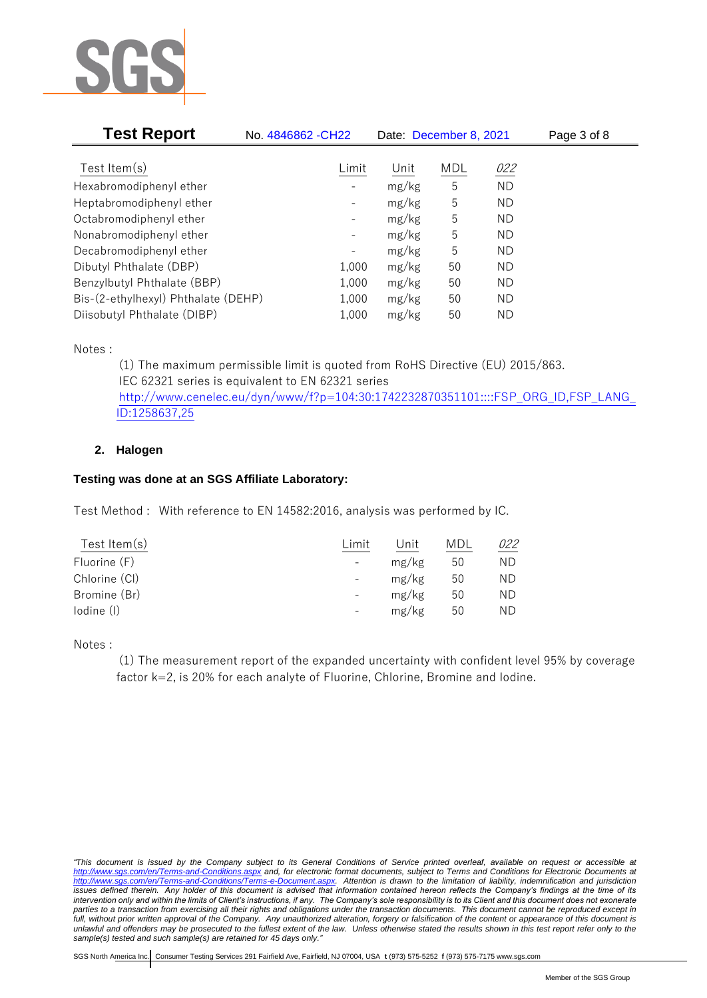

| <b>Test Report</b>                  | No. 4846862 - CH22           | Date: December 8, 2021 |     |           | Page 3 of 8 |
|-------------------------------------|------------------------------|------------------------|-----|-----------|-------------|
|                                     |                              |                        |     |           |             |
| Test Item $(s)$                     | Limit                        | Unit                   | MDL | 022       |             |
| Hexabromodiphenyl ether             |                              | mg/kg                  | 5   | <b>ND</b> |             |
| Heptabromodiphenyl ether            |                              | mg/kg                  | 5   | ND        |             |
| Octabromodiphenyl ether             | $\qquad \qquad \blacksquare$ | mg/kg                  | 5   | ND        |             |
| Nonabromodiphenyl ether             | -                            | mg/kg                  | 5   | ND        |             |
| Decabromodiphenyl ether             | -                            | mg/kg                  | 5   | ND        |             |
| Dibutyl Phthalate (DBP)             | 1,000                        | mg/kg                  | 50  | ND        |             |
| Benzylbutyl Phthalate (BBP)         | 1,000                        | mg/kg                  | 50  | ND        |             |
| Bis-(2-ethylhexyl) Phthalate (DEHP) | 1,000                        | mg/kg                  | 50  | ND        |             |
| Diisobutyl Phthalate (DIBP)         | 1,000                        | mg/kg                  | 50  | ΝD        |             |

Notes :

(1) The maximum permissible limit is quoted from RoHS Directive (EU) 2015/863. IEC 62321 series is equivalent to EN 62321 series [http://www.cenelec.eu/dyn/www/f?p=104:30:1742232870351101::::FSP\\_ORG\\_ID,FSP\\_LANG\\_](http://www.cenelec.eu/dyn/www/f?p=104:30:1742232870351101::::FSP_ORG_ID,FSP_LANG_ID:1258637,25) [ID:1258637,25](http://www.cenelec.eu/dyn/www/f?p=104:30:1742232870351101::::FSP_ORG_ID,FSP_LANG_ID:1258637,25)

# **2. Halogen**

# **Testing was done at an SGS Affiliate Laboratory:**

Test Method : With reference to EN 14582:2016, analysis was performed by IC.

| Test Item $(s)$ | Limit             | Unit  | MDL | 022 |
|-----------------|-------------------|-------|-----|-----|
| Fluorine (F)    |                   | mg/kg | 50  | ΝD  |
| Chlorine (CI)   |                   | mg/kg | 50  | ΝD  |
| Bromine (Br)    | $\qquad \qquad -$ | mg/kg | 50  | ΝD  |
| lodine (I)      |                   | mg/kg | 50  | ΝD  |
|                 |                   |       |     |     |

Notes :

(1) The measurement report of the expanded uncertainty with confident level 95% by coverage factor k=2, is 20% for each analyte of Fluorine, Chlorine, Bromine and Iodine.

*<sup>&</sup>quot;This document is issued by the Company subject to its General Conditions of Service printed overleaf, available on request or accessible at <http://www.sgs.com/en/Terms-and-Conditions.aspx> and, for electronic format documents, subject to Terms and Conditions for Electronic Documents at [http://www.sgs.com/en/Terms-and-Conditions/Terms-e-Document.aspx.](http://www.sgs.com/en/Terms-and-Conditions/Terms-e-Document.aspx) Attention is drawn to the limitation of liability, indemnification and jurisdiction issues defined therein. Any holder of this document is advised that information contained hereon reflects the Company's findings at the time of its intervention only and within the limits of Client's instructions, if any. The Company's sole responsibility is to its Client and this document does not exonerate parties to a transaction from exercising all their rights and obligations under the transaction documents. This document cannot be reproduced except in full, without prior written approval of the Company. Any unauthorized alteration, forgery or falsification of the content or appearance of this document is unlawful and offenders may be prosecuted to the fullest extent of the law. Unless otherwise stated the results shown in this test report refer only to the sample(s) tested and such sample(s) are retained for 45 days only."*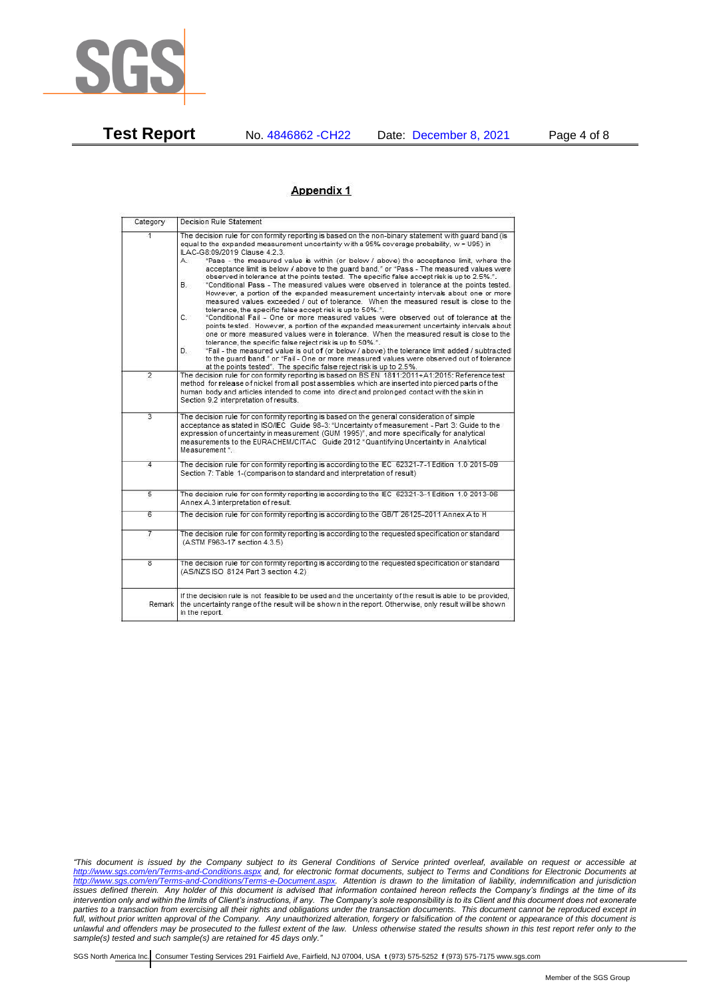

**Test Report** No. 4846862 -CH22 Date: December 8, 2021 Page 4 of 8

#### Appendix 1

| Category                | Decision Rule Statement                                                                                                                                                                                                                                                                                                                                                                                                                                                                                                                                                                                                                                                                                                                                                                                                                                                                                                                                                                                                                                                                                                                                                                                                                                                                                                                                                                                                                                                                                           |
|-------------------------|-------------------------------------------------------------------------------------------------------------------------------------------------------------------------------------------------------------------------------------------------------------------------------------------------------------------------------------------------------------------------------------------------------------------------------------------------------------------------------------------------------------------------------------------------------------------------------------------------------------------------------------------------------------------------------------------------------------------------------------------------------------------------------------------------------------------------------------------------------------------------------------------------------------------------------------------------------------------------------------------------------------------------------------------------------------------------------------------------------------------------------------------------------------------------------------------------------------------------------------------------------------------------------------------------------------------------------------------------------------------------------------------------------------------------------------------------------------------------------------------------------------------|
| $\overline{1}$          | The decision rule for conformity reporting is based on the non-binary statement with quard band (is<br>equal to the expanded measurement uncertainty with a 95% coverage probability, w = U95) in<br>ILAC-G8:09/2019 Clause 4.2.3.<br>"Pass - the measured value is within (or below / above) the acceptance limit, where the<br>А.<br>acceptance limit is below / above to the quard band." or "Pass - The measured values were<br>observed in tolerance at the points tested. The specific false accept risk is up to 2.5%.".<br>В.<br>"Conditional Pass - The measured values were observed in tolerance at the points tested.<br>However, a portion of the expanded measurement uncertainty intervals about one or more<br>measured values exceeded / out of tolerance. When the measured result is close to the<br>tolerance, the specific false accept risk is up to 50%."<br>C.<br>"Conditional Fail - One or more measured values were observed out of tolerance at the<br>points tested. However, a portion of the expanded measurement uncertainty intervals about<br>one or more measured values were in tolerance. When the measured result is close to the<br>tolerance, the specific false reject risk is up to 50%.".<br>"Fail - the measured value is out of (or below / above) the tolerance limit added / subtracted<br>D.<br>to the quard band." or "Fail - One or more measured values were observed out of tolerance<br>at the points tested". The specific false reject risk is up to 2.5%. |
| $\overline{2}$          | The decision rule for conformity reporting is based on BS EN 1811:2011+A1:2015: Reference test<br>method for release of nickel from all post assemblies which are inserted into pierced parts of the<br>human body and articles intended to come into direct and prolonged contact with the skin in<br>Section 9.2 interpretation of results.                                                                                                                                                                                                                                                                                                                                                                                                                                                                                                                                                                                                                                                                                                                                                                                                                                                                                                                                                                                                                                                                                                                                                                     |
| 3                       | The decision rule for conformity reporting is based on the general consideration of simple<br>acceptance as stated in ISO/IEC Guide 98-3: "Uncertainty of measurement - Part 3: Guide to the<br>expression of uncertainty in measurement (GUM 1995)", and more specifically for analytical<br>measurements to the EURACHEM/CITAC Guide 2012 "Quantifying Uncertainty in Analytical<br>Measurement *.                                                                                                                                                                                                                                                                                                                                                                                                                                                                                                                                                                                                                                                                                                                                                                                                                                                                                                                                                                                                                                                                                                              |
| 4                       | The decision rule for conformity reporting is according to the IEC 62321-7-1 Edition 1.0 2015-09<br>Section 7: Table 1-(comparison to standard and interpretation of result)                                                                                                                                                                                                                                                                                                                                                                                                                                                                                                                                                                                                                                                                                                                                                                                                                                                                                                                                                                                                                                                                                                                                                                                                                                                                                                                                      |
| $\overline{5}$          | The decision rule for conformity reporting is according to the IEC 62321-3-1 Edition 1.0 2013-06<br>Annex A.3 interpretation of result.                                                                                                                                                                                                                                                                                                                                                                                                                                                                                                                                                                                                                                                                                                                                                                                                                                                                                                                                                                                                                                                                                                                                                                                                                                                                                                                                                                           |
| 6                       | The decision rule for conformity reporting is according to the GB/T 26125-2011 Annex A to H                                                                                                                                                                                                                                                                                                                                                                                                                                                                                                                                                                                                                                                                                                                                                                                                                                                                                                                                                                                                                                                                                                                                                                                                                                                                                                                                                                                                                       |
| 7                       | The decision rule for conformity reporting is according to the requested specification or standard<br>(ASTM F963-17 section 4.3.5)                                                                                                                                                                                                                                                                                                                                                                                                                                                                                                                                                                                                                                                                                                                                                                                                                                                                                                                                                                                                                                                                                                                                                                                                                                                                                                                                                                                |
| $\overline{\mathbf{g}}$ | The decision rule for conformity reporting is according to the requested specification or standard<br>(AS/NZS ISO 8124 Part 3 section 4.2)                                                                                                                                                                                                                                                                                                                                                                                                                                                                                                                                                                                                                                                                                                                                                                                                                                                                                                                                                                                                                                                                                                                                                                                                                                                                                                                                                                        |
| Remark I                | If the decision rule is not feasible to be used and the uncertainty of the result is able to be provided,<br>the uncertainty range of the result will be shown in the report. Otherwise, only result will be shown<br>in the report.                                                                                                                                                                                                                                                                                                                                                                                                                                                                                                                                                                                                                                                                                                                                                                                                                                                                                                                                                                                                                                                                                                                                                                                                                                                                              |

*"This document is issued by the Company subject to its General Conditions of Service printed overleaf, available on request or accessible at <http://www.sgs.com/en/Terms-and-Conditions.aspx> and, for electronic format documents, subject to Terms and Conditions for Electronic Documents at [http://www.sgs.com/en/Terms-and-Conditions/Terms-e-Document.aspx.](http://www.sgs.com/en/Terms-and-Conditions/Terms-e-Document.aspx) Attention is drawn to the limitation of liability, indemnification and jurisdiction issues defined therein. Any holder of this document is advised that information contained hereon reflects the Company's findings at the time of its intervention only and within the limits of Client's instructions, if any. The Company's sole responsibility is to its Client and this document does not exonerate parties to a transaction from exercising all their rights and obligations under the transaction documents. This document cannot be reproduced except in full, without prior written approval of the Company. Any unauthorized alteration, forgery or falsification of the content or appearance of this document is unlawful and offenders may be prosecuted to the fullest extent of the law. Unless otherwise stated the results shown in this test report refer only to the sample(s) tested and such sample(s) are retained for 45 days only."*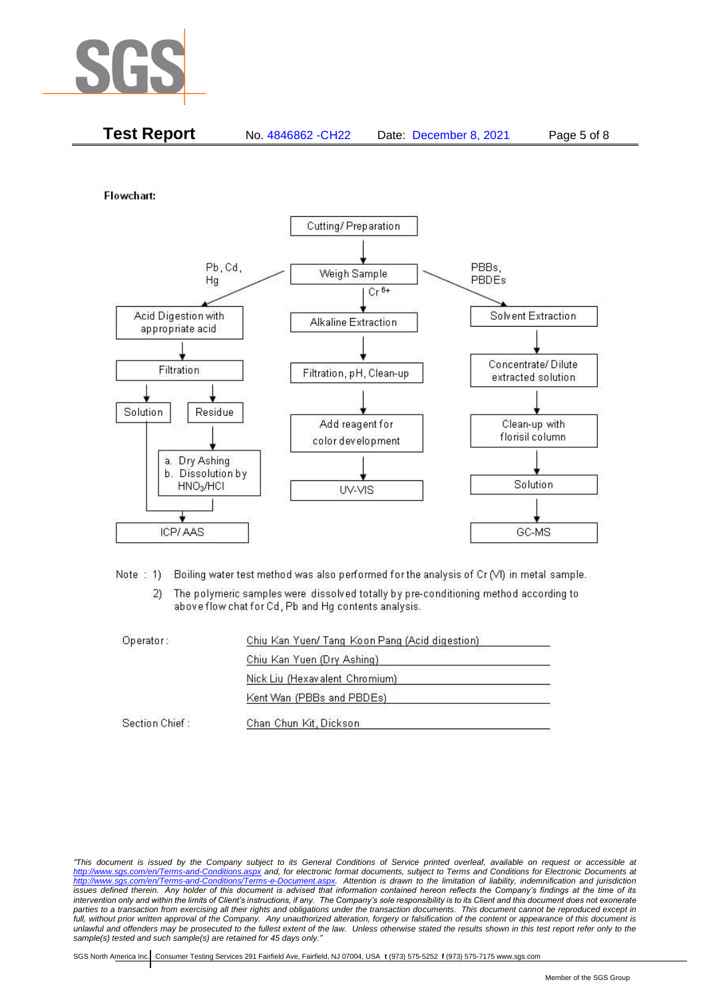

|  | <b>Test Report</b> | No. 4846862 - CH22 | Date: December 8, 2021 | Page 5 of 8 |
|--|--------------------|--------------------|------------------------|-------------|
|--|--------------------|--------------------|------------------------|-------------|

Flowchart:



Note: 1) Boiling water test method was also performed for the analysis of Cr (VI) in metal sample.

The polymeric samples were dissolved totally by pre-conditioning method according to  $2)$ above flow chat for Cd, Pb and Hg contents analysis.

| Operator:      | Chiu Kan Yuen/ Tang Koon Pang (Acid digestion) |  |
|----------------|------------------------------------------------|--|
|                | Chiu Kan Yuen (Dry Ashing)                     |  |
|                | Nick Liu (Hexavalent Chromium)                 |  |
|                | Kent Wan (PBBs and PBDEs)                      |  |
| Section Chief: | Chan Chun Kit, Dickson                         |  |

*"This document is issued by the Company subject to its General Conditions of Service printed overleaf, available on request or accessible at <http://www.sgs.com/en/Terms-and-Conditions.aspx> and, for electronic format documents, subject to Terms and Conditions for Electronic Documents at [http://www.sgs.com/en/Terms-and-Conditions/Terms-e-Document.aspx.](http://www.sgs.com/en/Terms-and-Conditions/Terms-e-Document.aspx) Attention is drawn to the limitation of liability, indemnification and jurisdiction issues defined therein. Any holder of this document is advised that information contained hereon reflects the Company's findings at the time of its intervention only and within the limits of Client's instructions, if any. The Company's sole responsibility is to its Client and this document does not exonerate parties to a transaction from exercising all their rights and obligations under the transaction documents. This document cannot be reproduced except in full, without prior written approval of the Company. Any unauthorized alteration, forgery or falsification of the content or appearance of this document is unlawful and offenders may be prosecuted to the fullest extent of the law. Unless otherwise stated the results shown in this test report refer only to the sample(s) tested and such sample(s) are retained for 45 days only."*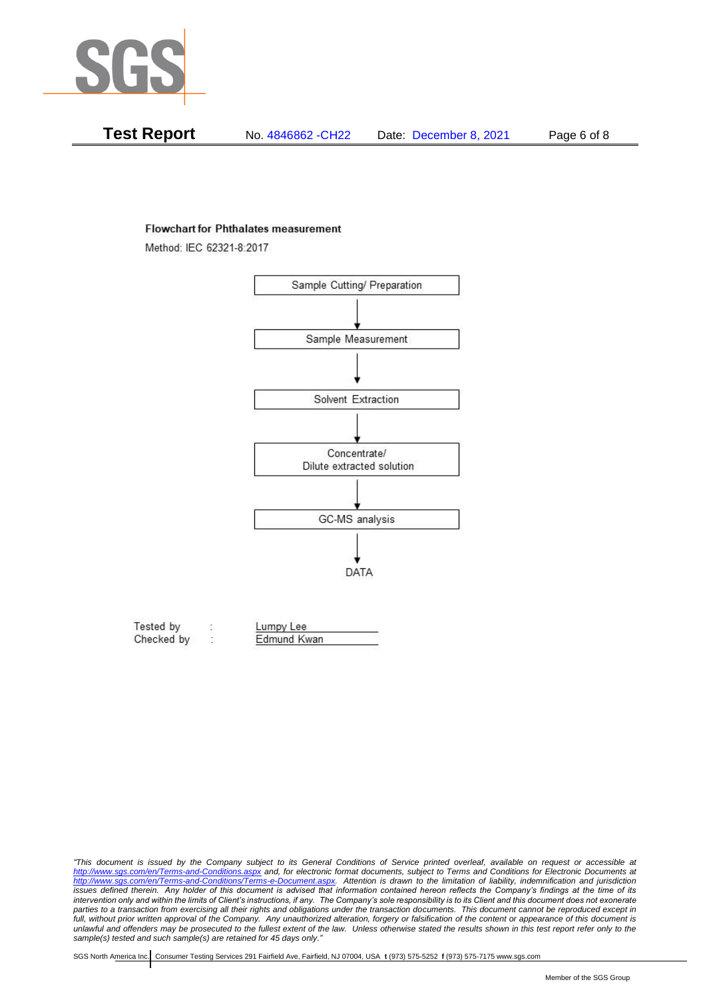

| Test Report | No. 4846862 - CH22 | Date: December 8, 2021 | Page 6 of 8 |
|-------------|--------------------|------------------------|-------------|
|-------------|--------------------|------------------------|-------------|

#### **Flowchart for Phthalates measurement**

Method: IEC 62321-8:2017



| Tested by  | Lumpy Lee   |  |
|------------|-------------|--|
| Checked by | Edmund Kwan |  |

*<sup>&</sup>quot;This document is issued by the Company subject to its General Conditions of Service printed overleaf, available on request or accessible at <http://www.sgs.com/en/Terms-and-Conditions.aspx> and, for electronic format documents, subject to Terms and Conditions for Electronic Documents at [http://www.sgs.com/en/Terms-and-Conditions/Terms-e-Document.aspx.](http://www.sgs.com/en/Terms-and-Conditions/Terms-e-Document.aspx) Attention is drawn to the limitation of liability, indemnification and jurisdiction issues defined therein. Any holder of this document is advised that information contained hereon reflects the Company's findings at the time of its intervention only and within the limits of Client's instructions, if any. The Company's sole responsibility is to its Client and this document does not exonerate*  parties to a transaction from exercising all their rights and obligations under the transaction documents. This document cannot be reproduced except in *full, without prior written approval of the Company. Any unauthorized alteration, forgery or falsification of the content or appearance of this document is unlawful and offenders may be prosecuted to the fullest extent of the law. Unless otherwise stated the results shown in this test report refer only to the sample(s) tested and such sample(s) are retained for 45 days only."*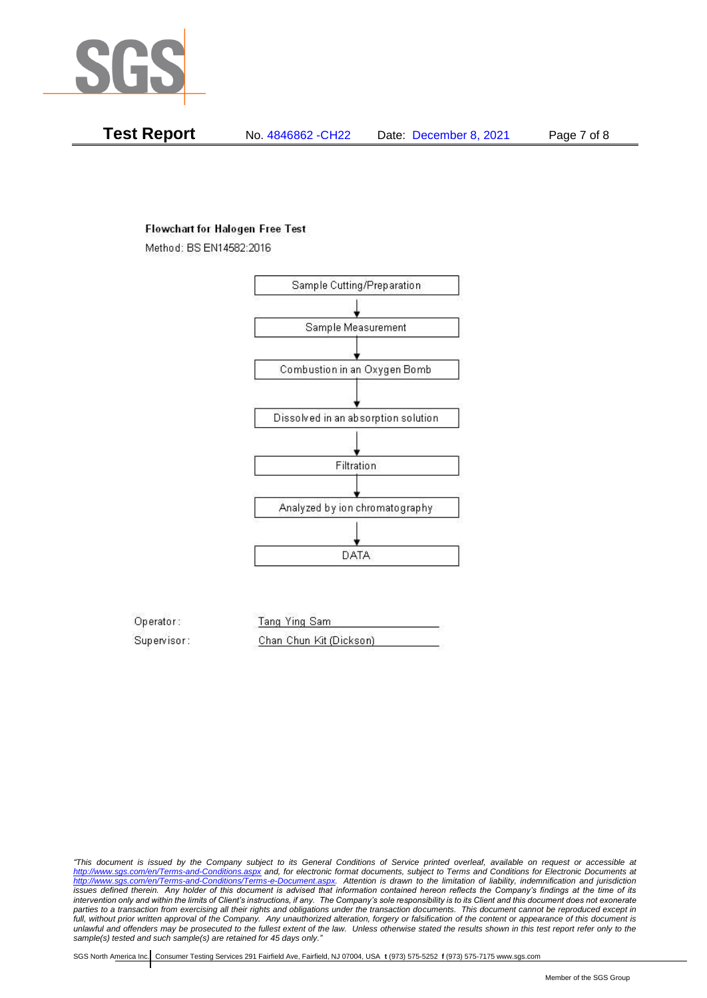

**Test Report** No. 4846862 -CH22 Date: December 8, 2021 Page 7 of 8

## **Flowchart for Halogen Free Test**

Method: BS EN14582:2016



Operator: Tang Ying Sam Supervisor: Chan Chun Kit (Dickson)

*"This document is issued by the Company subject to its General Conditions of Service printed overleaf, available on request or accessible at <http://www.sgs.com/en/Terms-and-Conditions.aspx> and, for electronic format documents, subject to Terms and Conditions for Electronic Documents at [http://www.sgs.com/en/Terms-and-Conditions/Terms-e-Document.aspx.](http://www.sgs.com/en/Terms-and-Conditions/Terms-e-Document.aspx) Attention is drawn to the limitation of liability, indemnification and jurisdiction issues defined therein. Any holder of this document is advised that information contained hereon reflects the Company's findings at the time of its intervention only and within the limits of Client's instructions, if any. The Company's sole responsibility is to its Client and this document does not exonerate parties to a transaction from exercising all their rights and obligations under the transaction documents. This document cannot be reproduced except in full, without prior written approval of the Company. Any unauthorized alteration, forgery or falsification of the content or appearance of this document is unlawful and offenders may be prosecuted to the fullest extent of the law. Unless otherwise stated the results shown in this test report refer only to the sample(s) tested and such sample(s) are retained for 45 days only."*